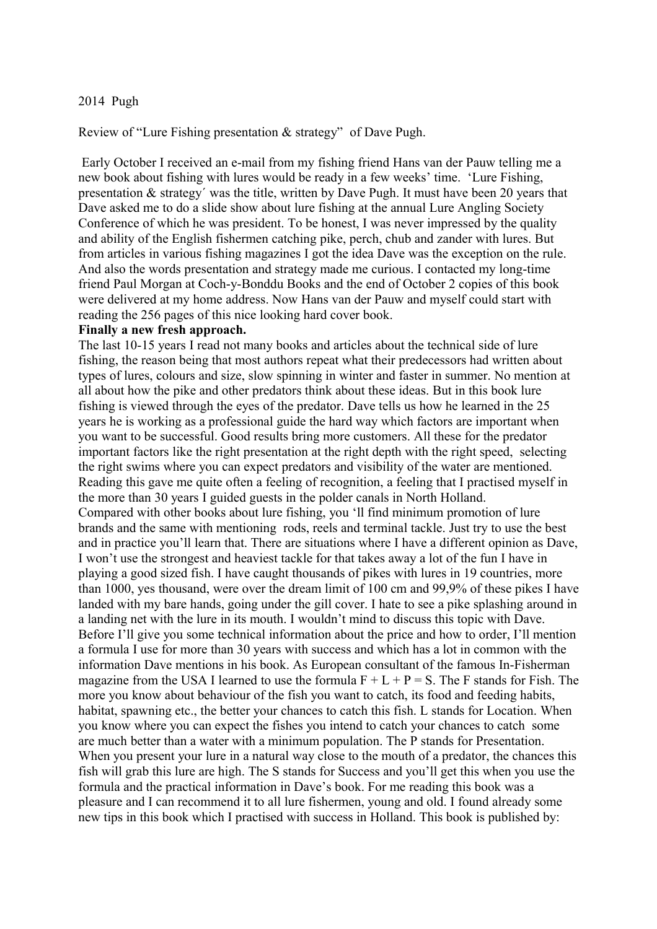## 2014 Pugh

Review of "Lure Fishing presentation & strategy" of Dave Pugh.

 Early October I received an e-mail from my fishing friend Hans van der Pauw telling me a new book about fishing with lures would be ready in a few weeks' time. 'Lure Fishing, presentation & strategy´ was the title, written by Dave Pugh. It must have been 20 years that Dave asked me to do a slide show about lure fishing at the annual Lure Angling Society Conference of which he was president. To be honest, I was never impressed by the quality and ability of the English fishermen catching pike, perch, chub and zander with lures. But from articles in various fishing magazines I got the idea Dave was the exception on the rule. And also the words presentation and strategy made me curious. I contacted my long-time friend Paul Morgan at Coch-y-Bonddu Books and the end of October 2 copies of this book were delivered at my home address. Now Hans van der Pauw and myself could start with reading the 256 pages of this nice looking hard cover book.

## **Finally a new fresh approach.**

The last 10-15 years I read not many books and articles about the technical side of lure fishing, the reason being that most authors repeat what their predecessors had written about types of lures, colours and size, slow spinning in winter and faster in summer. No mention at all about how the pike and other predators think about these ideas. But in this book lure fishing is viewed through the eyes of the predator. Dave tells us how he learned in the 25 years he is working as a professional guide the hard way which factors are important when you want to be successful. Good results bring more customers. All these for the predator important factors like the right presentation at the right depth with the right speed, selecting the right swims where you can expect predators and visibility of the water are mentioned. Reading this gave me quite often a feeling of recognition, a feeling that I practised myself in the more than 30 years I guided guests in the polder canals in North Holland. Compared with other books about lure fishing, you 'll find minimum promotion of lure brands and the same with mentioning rods, reels and terminal tackle. Just try to use the best and in practice you'll learn that. There are situations where I have a different opinion as Dave, I won't use the strongest and heaviest tackle for that takes away a lot of the fun I have in playing a good sized fish. I have caught thousands of pikes with lures in 19 countries, more than 1000, yes thousand, were over the dream limit of 100 cm and 99,9% of these pikes I have landed with my bare hands, going under the gill cover. I hate to see a pike splashing around in a landing net with the lure in its mouth. I wouldn't mind to discuss this topic with Dave. Before I'll give you some technical information about the price and how to order, I'll mention a formula I use for more than 30 years with success and which has a lot in common with the information Dave mentions in his book. As European consultant of the famous In-Fisherman magazine from the USA I learned to use the formula  $F + L + P = S$ . The F stands for Fish. The more you know about behaviour of the fish you want to catch, its food and feeding habits, habitat, spawning etc., the better your chances to catch this fish. L stands for Location. When you know where you can expect the fishes you intend to catch your chances to catch some are much better than a water with a minimum population. The P stands for Presentation. When you present your lure in a natural way close to the mouth of a predator, the chances this fish will grab this lure are high. The S stands for Success and you'll get this when you use the formula and the practical information in Dave's book. For me reading this book was a pleasure and I can recommend it to all lure fishermen, young and old. I found already some new tips in this book which I practised with success in Holland. This book is published by: